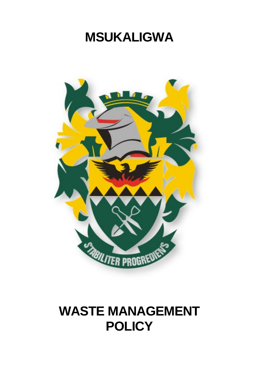# **MSUKALIGWA**



# **WASTE MANAGEMENT POLICY**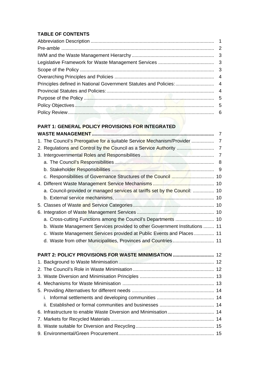# **TABLE OF CONTENTS**

| Principles defined in National Government Statutes and Policies:  4 |  |
|---------------------------------------------------------------------|--|
|                                                                     |  |
|                                                                     |  |
|                                                                     |  |
|                                                                     |  |

# **PART 1: GENERAL POLICY PROVISIONS FOR INTEGRATED**

|                                                                            | $\overline{7}$ |
|----------------------------------------------------------------------------|----------------|
|                                                                            |                |
|                                                                            |                |
|                                                                            | $\overline{7}$ |
|                                                                            |                |
|                                                                            | 9              |
| c. Responsibilities of Governance Structures of the Council  10            |                |
|                                                                            |                |
| a. Council-provided or managed services at tariffs set by the Council:  10 |                |
|                                                                            |                |
|                                                                            |                |
|                                                                            |                |
|                                                                            |                |
| b. Waste Management Services provided to other Government Institutions  11 |                |
| c. Waste Management Services provided at Public Events and Places 11       |                |
| d. Waste from other Municipalities, Provinces and Countries 11             |                |
|                                                                            |                |
| PART 2: POLICY PROVISIONS FOR WASTE MINIMISATION  12                       |                |
|                                                                            |                |
|                                                                            |                |
|                                                                            |                |
|                                                                            |                |
|                                                                            |                |
|                                                                            |                |
|                                                                            |                |
|                                                                            |                |
|                                                                            |                |
|                                                                            |                |
|                                                                            |                |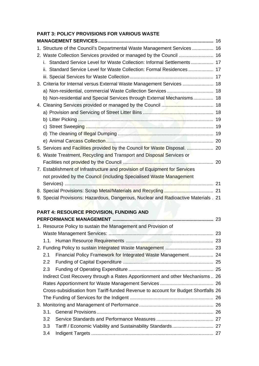# **PART 3: POLICY PROVISIONS FOR VARIOUS WASTE**

| 1. Structure of the Council's Departmental Waste Management Services  16           |  |
|------------------------------------------------------------------------------------|--|
| 2. Waste Collection Services provided or managed by the Council  16                |  |
| i. Standard Service Level for Waste Collection: Informal Settlements 17            |  |
| ii. Standard Service Level for Waste Collection: Formal Residences 17              |  |
|                                                                                    |  |
| 3. Criteria for Internal versus External Waste Management Services  18             |  |
|                                                                                    |  |
| b) Non-residential and Special Services through External Mechanisms 18             |  |
|                                                                                    |  |
|                                                                                    |  |
|                                                                                    |  |
| c) Street Sweeping <b>Manual Communication</b> and the street of the 19            |  |
|                                                                                    |  |
|                                                                                    |  |
| 5. Services and Facilities provided by the Council for Waste Disposal.  20         |  |
| 6. Waste Treatment, Recycling and Transport and Disposal Services or               |  |
|                                                                                    |  |
| 7. Establishment of Infrastructure and provision of Equipment for Services         |  |
| not provided by the Council (including Specialised Waste Management                |  |
|                                                                                    |  |
|                                                                                    |  |
| 9. Special Provisions: Hazardous, Dangerous, Nuclear and Radioactive Materials. 21 |  |
|                                                                                    |  |
| <b>PART 4: RESOURCE PROVISION, FUNDING AND</b>                                     |  |
|                                                                                    |  |
| 1. Resource Policy to sustain the Management and Provision of                      |  |
|                                                                                    |  |
| 1.1.                                                                               |  |
|                                                                                    |  |
| Financial Policy Framework for Integrated Waste Management 24<br>2.1               |  |
| 2.2                                                                                |  |
| 2.3                                                                                |  |
| Indirect Cost Recovery through a Rates Apportionment and other Mechanisms 26       |  |
|                                                                                    |  |
| Cross-subsidisation from Tariff-funded Revenue to account for Budget Shortfalls 26 |  |
|                                                                                    |  |
|                                                                                    |  |
| 3.1.                                                                               |  |
| 3.2                                                                                |  |

3.3 Tariff / Economic Viability and Sustainability Standards............................... 27 3.4 Indigent Targets ............................................................................................ 27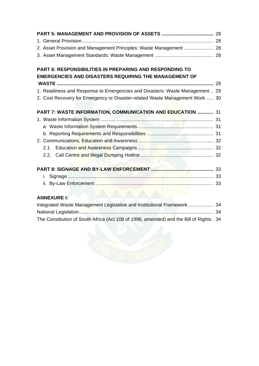| 2. Asset Provision and Management Principles: Waste Management  28           |  |
|------------------------------------------------------------------------------|--|
|                                                                              |  |
| <b>PART 6: RESPONSIBILITIES IN PREPARING AND RESPONDING TO</b>               |  |
| <b>EMERGENCIES AND DISASTERS REQUIRING THE MANAGEMENT OF</b>                 |  |
|                                                                              |  |
| 1. Readiness and Response to Emergencies and Disasters: Waste Management  29 |  |
| 2. Cost Recovery for Emergency or Disaster-related Waste Management Work  30 |  |
| PART 7: WASTE INFORMATION, COMMUNICATION AND EDUCATION  31                   |  |
|                                                                              |  |
|                                                                              |  |
|                                                                              |  |
|                                                                              |  |
|                                                                              |  |
| 2.2.                                                                         |  |
|                                                                              |  |
| i.                                                                           |  |
|                                                                              |  |

# **ANNEXURE I:**

| Integrated Waste Management Legislative and Institutional Framework 34                  |  |
|-----------------------------------------------------------------------------------------|--|
|                                                                                         |  |
| The Constitution of South Africa (Act 108 of 1996, amended) and the Bill of Rights . 34 |  |

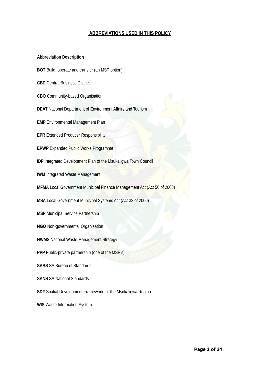# **ABBREVIATIONS USED IN THIS POLICY**

#### **Abbreviation Description**

- **BOT** Build, operate and transfer (an MSP option)
- **CBD** Central Business District
- **CBO** Community-based Organisation
- **DEAT** National Department of Environment Affairs and Tourism
- **EMP** Environmental Management Plan
- **EPR Extended Producer Responsibility**
- **EPWP** Expanded Public Works Programme
- **IDP** Integrated Development Plan of the Msukaligwa Town Council
- **IWM** Integrated Waste Management
- **MFMA** Local Government Municipal Finance Management Act (Act 56 of 2003)
- **MSA** Local Government Municipal Systems Act (Act 32 of 2000)
- **MSP** Municipal Service Partnership
- **NGO** Non-governmental Organisation
- **NWMS** National Waste Management Strategy
- **PPP** Public-private partnership (one of the MSP's)
- **SABS** SA Bureau of Standards
- **SANS** SA National Standards
- **SDF** Spatial Development Framework for the Msukaligwa Region
- **WIS** Waste Information System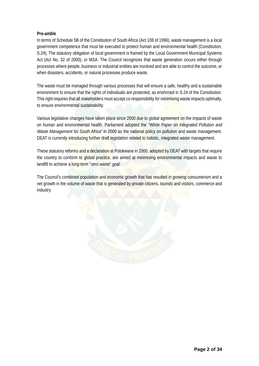# **Pre-amble**

In terms of Schedule 5B of the Constitution of South Africa (Act 108 of 1996), waste management is a local government competence that must be executed to protect human and environmental health (Constitution, S.24). The statutory obligation of local government is framed by the Local Government Municipal Systems Act (Act No. 32 of 2000), or MSA. The Council recognizes that waste generation occurs either through processes where people, business or industrial entities are involved and are able to control the outcome, or when disasters, accidents, or natural processes produce waste.

The waste must be managed through various processes that will ensure a safe, healthy and a sustainable environment to ensure that the rights of individuals are protected, as enshrined in S.24 of the Constitution. This right requires that all stakeholders must accept co-responsibility for minimising waste impacts optimally, to ensure environmental sustainability.

Various legislative changes have taken place since 2000 due to global agreement on the impacts of waste on human and environmental health. Parliament adopted the "White Paper on Integrated Pollution and Waste Management for South Africa" in 2000 as the national policy on pollution and waste management. DEAT is currently introducing further draft legislation related to holistic, integrated waste management.

These statutory reforms and a declaration at Polokwane in 2000, adopted by DEAT with targets that require the country to conform to global practice, are aimed at minimising environmental impacts and waste to landfill to achieve a long-term "zero waste" goal.

The Council's combined population and economic growth that has resulted in growing consumerism and a net growth in the volume of waste that is generated by private citizens, tourists and visitors, commerce and industry.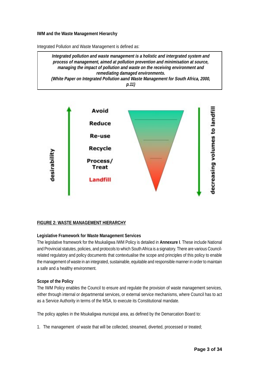#### **IWM and the Waste Management Hierarchy**

Integrated Pollution and Waste Management is defined as:

**Integrated pollution and waste management is a holistic and intergrated system and process of management, aimed at pollution prevention and minimisation at source, managing the impact of pollution and waste on the receiving environment and remediating damaged environments. (White Paper on Integrated Pollution aand Waste Management for South Africa, 2000, p.11)**



# **FIGURE 2: WASTE MANAGEMENT HIERARCHY**

# **Legislative Framework for Waste Management Services**

The legislative framework for the Msukaligwa IWM Policy is detailed in **Annexure I**. These include National and Provincial statutes, policies, and protocols to which South Africa is a signatory. There are various Councilrelated regulatory and policy documents that contextualise the scope and principles of this policy to enable the management of waste in an integrated, sustainable, equitable and responsible manner in order to maintain a safe and a healthy environment.

#### **Scope of the Policy**

The IWM Policy enables the Council to ensure and regulate the provision of waste management services, either through internal or departmental services, or external service mechanisms, where Council has to act as a Service Authority in terms of the MSA, to execute its Constitutional mandate.

The policy applies in the Msukaligwa municipal area, as defined by the Demarcation Board to:

1. The management of waste that will be collected, streamed, diverted, processed or treated;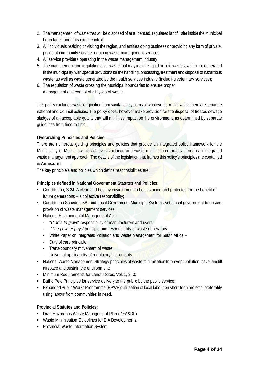- 2. The management of waste that will be disposed of at a licensed, regulated landfill site inside the Municipal boundaries under its direct control;
- 3. All individuals residing or visiting the region, and entities doing business or providing any form of private, public of community service requiring waste management services;
- 4. All service providers operating in the waste management industry;
- 5. The management and regulation of all waste that may include liquid or fluid wastes, which are generated in the municipality, with special provisions for the handling, processing, treatment and disposal of hazardous waste, as well as waste generated by the health services industry (including veterinary services);
- 6. The regulation of waste crossing the municipal boundaries to ensure proper management and control of all types of waste.

This policy excludes waste originating from sanitation systems of whatever form, for which there are separate national and Council policies. The policy does, however make provision for the disposal of treated sewage sludges of an acceptable quality that will minimise impact on the environment, as determined by separate guidelines from time-to-time.

# **Overarching Principles and Policies**

There are numerous guiding principles and policies that provide an integrated policy framework for the Municipality of Msukaligwa to achieve avoidance and waste minimisation targets through an integrated waste management approach. The details of the legislation that frames this policy's principles are contained in **Annexure I**.

The key principle's and policies which define responsibilities are:

# **Principles defined in National Government Statutes and Policies:**

- Constitution, S.24: A clean and healthy environment to be sustained and protected for the benefit of future generations – a collective responsibility;
- Constitution Schedule 5B, and Local Government Municipal Systems Act: Local government to ensure provision of waste management services;
- National Environmental Management Act
	- · "Cradle-to-grave" responsibility of manufacturers and users;
	- · "The-polluter-pays" principle and responsibility of waste generators.
	- · White Paper on Integrated Pollution and Waste Management for South Africa –
	- · Duty of care principle;
	- · Trans-boundary movement of waste;
	- Universal applicability of regulatory instruments.
- National Waste Management Strategy principles of waste minimisation to prevent pollution, save landfill airspace and sustain the environment;
- Minimum Requirements for Landfill Sites, Vol. 1, 2, 3;
- Batho Pele Principles for service delivery to the public by the public service;
- Expanded Public Works Programme (EPWP): utilisation of local labour on short-term projects, preferably using labour from communities in need.

# **Provincial Statutes and Policies:**

- Draft Hazardous Waste Management Plan (DEA&DP).
- Waste Minimisation Guidelines for EIA Developments.
- Provincial Waste Information System.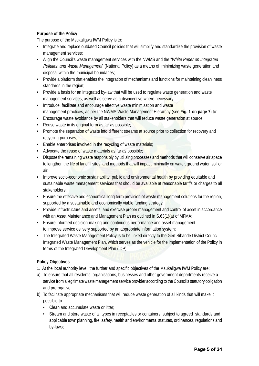# **Purpose of the Policy**

The purpose of the Msukaligwa IWM Policy is to:

- Integrate and replace outdated Council policies that will simplify and standardize the provision of waste management services;
- Align the Council's waste management services with the NWMS and the "White Paper on Integrated" Pollution and Waste Management" (National Policy) as a means of minimizing waste generation and disposal within the municipal boundaries;
- Provide a platform that enables the integration of mechanisms and functions for maintaining cleanliness standards in the region;
- Provide a basis for an integrated by-law that will be used to regulate waste generation and waste management services, as well as serve as a disincentive where necessary;
- Introduce, facilitate and encourage effective waste minimisation and waste management practices, as per the NWMS Waste Management Hierarchy (see **Fig. 1 on page 7**) to:
- Encourage waste avoidance by all stakeholders that will reduce waste generation at source;
- Reuse waste in its original form as far as possible;
- Promote the separation of waste into different streams at source prior to collection for recovery and recycling purposes;
- Enable enterprises involved in the recycling of waste materials;
- Advocate the reuse of waste materials as far as possible;
- Dispose the remaining waste responsibly by utilising processes and methods that will conserve air space to lengthen the life of landfill sites, and methods that will impact minimally on water, ground water, soil or air.
- Improve socio-economic sustainability; public and environmental health by providing equitable and sustainable waste management services that should be available at reasonable tariffs or charges to all stakeholders;
- Ensure the effective and economical long term provision of waste management solutions for the region, supported by a sustainable and economically viable funding strategy.
- Provide infrastructure and assets, and exercise proper management and control of asset in accordance with an Asset Maintenance and Management Plan as outlined in S.63(1)(a) of MFMA;
- Ensure informed decision-making and continuous performance and asset management to improve service delivery supported by an appropriate information system;
- The Integrated Waste Management Policy is to be linked directly to the Gert Sibande District Council Integrated Waste Management Plan, which serves as the vehicle for the implementation of the Policy in terms of the Integrated Development Plan (IDP).

# **Policy Objectives**

- 1. At the local authority level, the further and specific objectives of the Msukaligwa IWM Policy are:
- a) To ensure that all residents, organisations, businesses and other government departments receive a service from a legitimate waste management service provider according to the Council's statutory obligation and prerogative;
- b) To facilitate appropriate mechanisms that will reduce waste generation of all kinds that will make it possible to:
	- Clean and accumulate waste or litter;
	- Stream and store waste of all types in receptacles or containers, subject to agreed standards and applicable town planning, fire, safety, health and environmental statutes, ordinances, regulations and by-laws;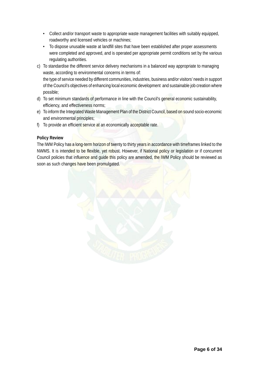- Collect and/or transport waste to appropriate waste management facilities with suitably equipped, roadworthy and licensed vehicles or machines;
- To dispose unusable waste at landfill sites that have been established after proper assessments were completed and approved, and is operated per appropriate permit conditions set by the various regulating authorities.
- c) To standardise the different service delivery mechanisms in a balanced way appropriate to managing waste, according to environmental concerns in terms of: the type of service needed by different communities, industries, business and/or visitors' needs in support of the Council's objectives of enhancing local economic development and sustainable job creation where possible;
- d) To set minimum standards of performance in line with the Council's general economic sustainability, efficiency, and effectiveness norms;
- e) To inform the Integrated Waste Management Plan of the District Council, based on sound socio-economic and environmental principles;
- f) To provide an efficient service at an economically acceptable rate.

# **Policy Review**

The IWM Policy has a long-term horizon of twenty to thirty years in accordance with timeframes linked to the NWMS. It is intended to be flexible, yet robust. However, if National policy or legislation or if concurrent Council policies that influence and guide this policy are amended, the IWM Policy should be reviewed as soon as such changes have been promulgated.

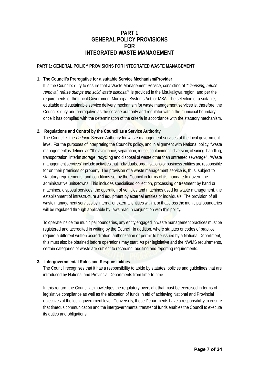# **PART 1 GENERAL POLICY PROVISIONS FOR INTEGRATED WASTE MANAGEMENT**

# **PART 1: GENERAL POLICY PROVISIONS FOR INTEGRATED WASTE MANAGEMENT**

#### **1. The Council's Prerogative for a suitable Service Mechanism/Provider**

It is the Council's duty to ensure that a Waste Management Service, consisting of "cleansing, refuse removal, refuse dumps and solid waste disposal", is provided in the Msukaligwa region, and per the requirements of the Local Government Municipal Systems Act, or MSA. The selection of a suitable, equitable and sustainable service delivery mechanism for waste management services is, therefore, the Council's duty and prerogative as the service authority and regulator within the municipal boundary, once it has complied with the determination of the criteria in accordance with the statutory mechanism.

# **2. Regulations and Control by the Council as a Service Authority**

The Council is the de facto Service Authority for waste management services at the local government level. For the purposes of interpreting the Council's policy, and in alignment with National policy, "waste management" is defined as **"**the avoidance, separation, reuse, containment, diversion, cleaning, handling, transportation, interim storage, recycling and disposal of waste other than untreated sewerage**"**. "Waste management services" include activities that individuals, organisations or business entities are responsible for on their premises or property. The provision of a waste management service is, thus, subject to statutory requirements, and conditions set by the Council in terms of its mandate to govern the administrative units/towns. This includes specialised collection, processing or treatment by hand or machines, disposal services, the operation of vehicles and machines used for waste management, the establishment of infrastructure and equipment by external entities or individuals. The provision of all waste management services by internal or external entities within, or that cross the municipal boundaries will be regulated through applicable by-laws read in conjunction with this policy.

To operate inside the municipal boundaries, any entity engaged in waste management practices must be registered and accredited in writing by the Council. In addition, where statutes or codes of practice require a different written accreditation, authorization or permit to be issued by a National Department, this must also be obtained before operations may start. As per legislative and the NWMS requirements, certain categories of waste are subject to recording, auditing and reporting requirements.

#### **3. Intergovernmental Roles and Responsibilities**

The Council recognises that it has a responsibility to abide by statutes, policies and guidelines that are introduced by National and Provincial Departments from time-to-time.

In this regard, the Council acknowledges the regulatory oversight that must be exercised in terms of legislative compliance as well as the allocation of funds in aid of achieving National and Provincial objectives at the local government level. Conversely, these Departments have a responsibility to ensure that timeous communication and the intergovernmental transfer of funds enables the Council to execute its duties and obligations.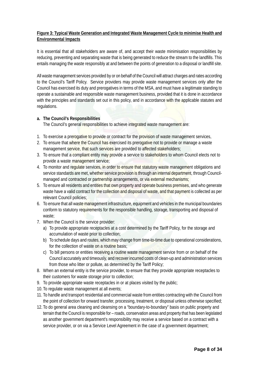# **Figure 3: Typical Waste Generation and Integrated Waste Management Cycle to minimise Health and Environmental Impacts**

It is essential that all stakeholders are aware of, and accept their waste minimisation responsibilities by reducing, preventing and separating waste that is being generated to reduce the stream to the landfills. This entails managing the waste responsibly at and between the points of generation to a disposal or landfill site.

All waste management services provided by or on behalf of the Council will attract charges and rates according to the Council's Tariff Policy. Service providers may provide waste management services only after the Council has exercised its duty and prerogatives in terms of the MSA, and must have a legitimate standing to operate a sustainable and responsible waste management business, provided that it is done in accordance with the principles and standards set out in this policy, and in accordance with the applicable statutes and regulations.

# **a. The Council's Responsibilities**

The Council's general responsibilities to achieve integrated waste management are:

- 1. To exercise a prerogative to provide or contract for the provision of waste management services,
- 2. To ensure that where the Council has exercised its prerogative not to provide or manage a waste management service, that such services are provided to affected stakeholders;
- 3. To ensure that a compliant entity may provide a service to stakeholders to whom Council elects not to provide a waste management service;
- 4. To monitor and regulate services, in order to ensure that statutory waste management obligations and service standards are met, whether service provision is through an internal department, through Councilmanaged and contracted or partnership arrangements, or via external mechanisms;
- 5. To ensure all residents and entities that own property and operate business premises, and who generate waste have a valid contract for the collection and disposal of waste, and that payment is collected as per relevant Council policies;
- 6. To ensure that all waste management infrastructure, equipment and vehicles in the municipal boundaries conform to statutory requirements for the responsible handling, storage, transporting and disposal of waste;
- 7. When the Council is the service provider:
	- a) To provide appropriate receptacles at a cost determined by the Tariff Policy, for the storage and accumulation of waste prior to collection;
	- b) To schedule days and routes, which may change from time-to-time due to operational considerations, for the collection of waste on a routine basis;
	- c) To bill persons or entities receiving a routine waste management service from or on behalf of the Council accurately and timeously, and recover incurred costs of clean-up and administration services from those who litter or pollute, as determined by the Tariff Policy;
- 8. When an external entity is the service provider, to ensure that they provide appropriate receptacles to their customers for waste storage prior to collection;
- 9. To provide appropriate waste receptacles in or at places visited by the public;
- 10. To regulate waste management at all events;
- 11. To handle and transport residential and commercial waste from entities contracting with the Council from the point of collection for onward transfer, processing, treatment, or disposal unless otherwise specified;
- 12. To do general area cleaning and cleansing on a "boundary-to-boundary" basis on public property and terrain that the Council is responsible for – roads, conservation areas and property that has been legislated as another government department's responsibility may receive a service based on a contract with a service provider, or on via a Service Level Agreement in the case of a government department;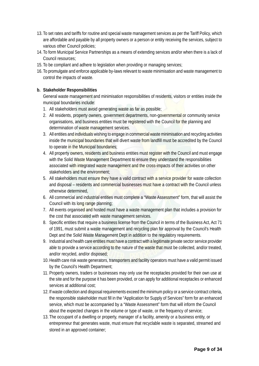- 13. To set rates and tariffs for routine and special waste management services as per the Tariff Policy, which are affordable and payable by all property owners or a person or entity receiving the services, subject to various other Council policies;
- 14. To form Municipal Service Partnerships as a means of extending services and/or when there is a lack of Council resources;
- 15. To be compliant and adhere to legislation when providing or managing services;
- 16. To promulgate and enforce applicable by-laws relevant to waste minimisation and waste management to control the impacts of waste.

# **b. Stakeholder Responsibilities**

General waste management and minimisation responsibilities of residents, visitors or entities inside the municipal boundaries include:

- 1. All stakeholders must avoid generating waste as far as possible;
- 2. All residents, property owners, government departments, non-governmental or community service organisations, and business entities must be registered with the Council for the planning and determination of waste management services.
- 3. All entities and individuals wishing to engage in commercial waste minimisation and recycling activities inside the municipal boundaries that will divert waste from landfill must be accredited by the Council to operate in the Municipal boundaries;
- 4. All property owners, residents and business entities must register with the Council and must engage with the Solid Waste Management Department to ensure they understand the responsibilities associated with integrated waste management and the cross-impacts of their activities on other stakeholders and the environment;
- 5. All stakeholders must ensure they have a valid contract with a service provider for waste collection and disposal – residents and commercial businesses must have a contract with the Council unless otherwise determined,
- 6. All commercial and industrial entities must complete a "Waste Assessment" form, that will assist the Council with its long range planning;
- 7. All events organised and hosted must have a waste management plan that includes a provision for the cost that associated with waste management services.
- 8. Specific entities that require a business license from the Council in terms of the Business Act, Act 71 of 1991, must submit a waste management and recycling plan for approval by the Council's Health Dept and the Solid Waste Management Dept in addition to the regulatory requirements.
- 9. Industrial and health care entities must have a contract with a legitimate private sector service provider able to provide a service according to the nature of the waste that must be collected, and/or treated, and/or recycled, and/or disposed;
- 10. Health care risk waste generators, transporters and facility operators must have a valid permit issued by the Council's Health Department;
- 11. Property owners, traders or businesses may only use the receptacles provided for their own use at the site and for the purpose it has been provided, or can apply for additional receptacles or enhanced services at additional cost;
- 12. If waste collection and disposal requirements exceed the minimum policy or a service contract criteria, the responsible stakeholder must fill in the "Application for Supply of Services" form for an enhanced service, which must be accompanied by a "Waste Assessment" form that will inform the Council about the expected changes in the volume or type of waste, or the frequency of service;
- 13. The occupant of a dwelling or property, manager of a facility, amenity or a business entity, or entrepreneur that generates waste, must ensure that recyclable waste is separated, streamed and stored in an approved container;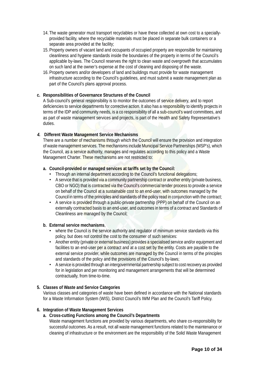- 14. The waste generator must transport recyclables or have these collected at own cost to a speciallyprovided facility, where the recyclable materials must be placed in separate bulk containers or a separate area provided at the facility;
- 15. Property owners of vacant land and occupants of occupied property are responsible for maintaining cleanliness and hygiene standards inside the boundaries of the property in terms of the Council's applicable by-laws. The Council reserves the right to clean waste and overgrowth that accumulates on such land at the owner's expense at the cost of cleaning and disposing of the waste.
- 16. Property owners and/or developers of land and buildings must provide for waste management infrastructure according to the Council's guidelines, and must submit a waste management plan as part of the Council's plans approval process.

#### **c. Responsibilities of Governance Structures of the Council**

A Sub-council's general responsibility is to monitor the outcomes of service delivery, and to report deficiencies to service departments for corrective action. It also has a responsibility to identify projects in terms of the IDP and community needs, is a co responsibility of all a sub-council's ward committees, and as part of waste management services and projects, is part of the Health and Safety Representative's duties.

#### **4. Different Waste Management Service Mechanisms**

There are a number of mechanisms through which the Council will ensure the provision and integration of waste management services. The mechanisms include Municipal Service Partnerships (MSP's), which the Council, as a service authority, manages and regulates according to this policy and a Waste Management Charter. These mechanisms are not restricted to:

#### **a. Council-provided or managed services at tariffs set by the Council:**

- Through an internal department according to the Council's functional delegations:
- A service that is provided via a community partnership contract or another entity (private business, CBO or NGO) that is contracted via the Council's commercial tender process to provide a service on behalf of the Council at a sustainable cost to an end-user, with outcomes managed by the Council in terms of the principles and standards of the policy read in conjunction with the contract;
- A service is provided through a public-private partnership (PPP) on behalf of the Council on an externally contracted basis to an end-user, and outcomes in terms of a contract and Standards of Cleanliness are managed by the Council;

#### **b. External service mechanisms**,

- where the Council is the service authority and regulator of minimum service standards via this policy, but does not control the cost to the consumer of such services:
- Another entity (private or external business) provides a specialised service and/or equipment and facilities to an end-user per a contract and at a cost set by the entity. Costs are payable to the external service provider, while outcomes are managed by the Council in terms of the principles and standards of the policy and the provisions of the Council's by-laws;
- A service is provided through an intergovernmental partnership subject to cost recovery as provided for in legislation and per monitoring and management arrangements that will be determined contractually, from time-to-time.

#### **5. Classes of Waste and Service Categories**

Various classes and categories of waste have been defined in accordance with the National standards for a Waste Information System (WIS), District Council's IWM Plan and the Council's Tariff Policy.

#### **6. Integration of Waste Management Services**

#### **a. Cross-cutting Functions among the Council's Departments**

Waste management functions are provided by various departments, who share co-responsibility for successful outcomes. As a result, not all waste management functions related to the maintenance or cleaning of infrastructure or the environment are the responsibility of the Solid Waste Management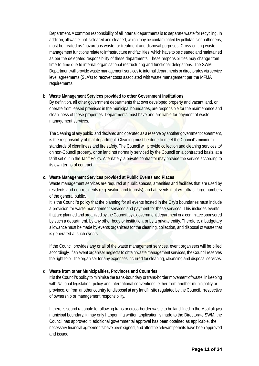Department. A common responsibility of all internal departments is to separate waste for recycling. In addition, all waste that is cleared and cleaned, which may be contaminated by pollutants or pathogens, must be treated as "hazardous waste for treatment and disposal purposes. Cross-cutting waste management functions relate to infrastructure and facilities, which have to be cleaned and maintained as per the delegated responsibility of these departments. These responsibilities may change from time-to-time due to internal organisational restructuring and functional delegations. The SWM Department will provide waste management services to internal departments or directorates via service level agreements (SLA's) to recover costs associated with waste management per the MFMA requirements.

# **b. Waste Management Services provided to other Government Institutions**

By definition, all other government departments that own developed property and vacant land, or operate from leased premises in the municipal boundaries, are responsible for the maintenance and cleanliness of these properties. Departments must have and are liable for payment of waste management services.

The cleaning of any public land declared and operated as a reserve by another government department, is the responsibility of that department. Cleaning must be done to meet the Council's minimum standards of cleanliness and fire safety. The Council will provide collection and cleaning services to/ on non-Council property, or on land not normally serviced by the Council on a contracted basis, at a tariff set out in the Tariff Policy. Alternately, a private contractor may provide the service according to its own terms of contract.

#### **c. Waste Management Services provided at Public Events and Places**

Waste management services are required at public spaces, amenities and facilities that are used by residents and non-residents (e.g. visitors and tourists), and at events that will attract large numbers of the general public.

It is the Council's policy that the planning for all events hosted in the City's boundaries must include a provision for waste management services and payment for these services. This includes events that are planned and organized by the Council, by a government department or a committee sponsored by such a department, by any other body or institution, or by a private entity. Therefore, a budgetary allowance must be made by events organizers for the cleaning, collection, and disposal of waste that is generated at such events

If the Council provides any or all of the waste management services, event organisers will be billed accordingly. If an event organiser neglects to obtain waste management services, the Council reserves the right to bill the organiser for any expenses incurred for cleaning, cleansing and disposal services.

# **d. Waste from other Municipalities, Provinces and Countries**

It is the Council's policy to minimise the trans-boundary or trans-border movement of waste, in keeping with National legislation, policy and international conventions, either from another municipality or province, or from another country for disposal at any landfill site regulated by the Council, irrespective of ownership or management responsibility.

If there is sound rationale for allowing trans or cross-border waste to be land filled in the Msukaligwa municipal boundary, it may only happen if a written application is made to the Directorate SWM, the Council has approved it, additional governmental approval has been obtained as applicable, the necessary financial agreements have been signed, and after the relevant permits have been approved and issued.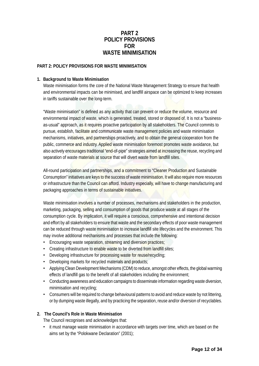# **PART 2 POLICY PROVISIONS FOR WASTE MINIMISATION**

#### **PART 2: POLICY PROVISIONS FOR WASTE MINIMISATION**

#### **1. Background to Waste Minimisation**

Waste minimisation forms the core of the National Waste Management Strategy to ensure that health and environmental impacts can be minimised, and landfill airspace can be optimized to keep increases in tariffs sustainable over the long-term.

"Waste minimisation" is defined as any activity that can prevent or reduce the volume, resource and environmental impact of waste, which is generated, treated, stored or disposed of. It is not a "businessas-usual" approach, as it requires proactive participation by all stakeholders. The Council commits to pursue, establish, facilitate and communicate waste management policies and waste minimisation mechanisms, initiatives, and partnerships proactively, and to obtain the general cooperation from the public, commerce and industry. Applied waste minimisation foremost promotes waste avoidance, but also actively encourages traditional "end-of-pipe" strategies aimed at increasing the reuse, recycling and separation of waste materials at source that will divert waste from landfill sites.

All-round participation and partnerships, and a commitment to "Cleaner Production and Sustainable Consumption" initiatives are keys to the success of waste minimisation. It will also require more resources or infrastructure than the Council can afford. Industry especially, will have to change manufacturing and packaging approaches in terms of sustainable initiatives.

Waste minimisation involves a number of processes, mechanisms and stakeholders in the production, marketing, packaging, selling and consumption of goods that produce waste at all stages of the consumption cycle. By implication, it will require a conscious, comprehensive and intentional decision and effort by all stakeholders to ensure that waste and the secondary effects of poor waste management can be reduced through waste minimisation to increase landfill site lifecycles and the environment. This may involve additional mechanisms and processes that include the following:

- Encouraging waste separation, streaming and diversion practices;
- Creating infrastructure to enable waste to be diverted from landfill sites;
- Developing infrastructure for processing waste for reuse/recycling;
- Developing markets for recycled materials and products;
- Applying Clean Development Mechanisms (CDM) to reduce, amongst other effects, the global warming effects of landfill gas to the benefit of all stakeholders including the environment;
- Conducting awareness and education campaigns to disseminate information regarding waste diversion, minimisation and recycling;
- Consumers will be required to change behavioural patterns to avoid and reduce waste by not littering, or by dumping waste illegally, and by practicing the separation, reuse and/or diversion of recyclables.

# **2. The Council's Role in Waste Minimisation**

The Council recognises and acknowledges that:

• it must manage waste minimisation in accordance with targets over time, which are based on the aims set by the "Polokwane Declaration" (2001);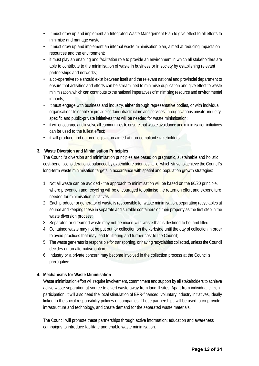- It must draw up and implement an Integrated Waste Management Plan to give effect to all efforts to minimise and manage waste;
- It must draw up and implement an internal waste minimisation plan, aimed at reducing impacts on resources and the environment;
- it must play an enabling and facilitation role to provide an environment in which all stakeholders are able to contribute to the minimisation of waste in business or in society by establishing relevant partnerships and networks;
- a co-operative role should exist between itself and the relevant national and provincial department to ensure that activities and efforts can be streamlined to minimise duplication and give effect to waste minimisation, which can contribute to the national imperatives of minimising resource and environmental impacts;
- It must engage with business and industry, either through representative bodies, or with individual organisations to enable or provide certain infrastructure and services, through various private, industryspecific and public-private initiatives that will be needed for waste minimisation;
- it will encourage and involve all communities to ensure that waste avoidance and minimisation initiatives can be used to the fullest effect;
- it will produce and enforce legislation aimed at non-compliant stakeholders.

# **3. Waste Diversion and Minimisation Principles**

The Council's diversion and minimisation principles are based on pragmatic, sustainable and holistic cost-benefit considerations, balanced by expenditure priorities, all of which strive to achieve the Council's long-term waste minimisation targets in accordance with spatial and population growth strategies:

- 1. Not all waste can be avoided the approach to minimisation will be based on the 80/20 principle, where prevention and recycling will be encouraged to optimise the return on effort and expenditure needed for minimisation initiatives.
- 2. Each producer or generator of waste is responsible for waste minimisation, separating recyclables at source and keeping these in separate and suitable containers on their property as the first step in the waste diversion process;
- 3. Separated or streamed waste may not be mixed with waste that is destined to be land filled;
- 4. Contained waste may not be put out for collection on the kerbside until the day of collection in order to avoid practices that may lead to littering and further cost to the Council;
- 5. The waste generator is responsible for transporting, or having recyclables collected, unless the Council decides on an alternative option;
- 6. Industry or a private concern may become involved in the collection process at the Council's prerogative.

# **4. Mechanisms for Waste Minimisation**

Waste minimisation effort will require involvement, commitment and support by all stakeholders to achieve active waste separation at source to divert waste away from landfill sites. Apart from individual citizen participation, it will also need the local stimulation of EPR-financed, voluntary industry initiatives, ideally linked to the social responsibility policies of companies. These partnerships will be used to co-provide infrastructure and technology, and create demand for the separated waste materials.

The Council will promote these partnerships through active information; education and awareness campaigns to introduce facilitate and enable waste minimisation.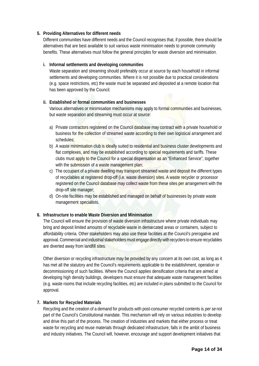#### **5. Providing Alternatives for different needs**

Different communities have different needs and the Council recognises that, if possible, there should be alternatives that are best available to suit various waste minimisation needs to promote community benefits. These alternatives must follow the general principles for waste diversion and minimisation.

#### **i. Informal settlements and developing communities**

Waste separation and streaming should preferably occur at source by each household in informal settlements and developing communities. Where it is not possible due to practical considerations (e.g. space restrictions, etc) the waste must be separated and deposited at a remote location that has been approved by the Council.

# **ii. Established or formal communities and businesses**

Various alternatives or minimisation mechanisms may apply to formal communities and businesses, but waste separation and streaming must occur at source:

- a) Private contractors registered on the Council database may contract with a private household or business for the collection of streamed waste according to their own logistical arrangement and schedules;
- b) A waste minimisation club is ideally suited to residential and business cluster developments and flat complexes, and may be established according to special requirements and tariffs. These clubs must apply to the Council for a special dispensation as an "Enhanced Service", together with the submission of a waste management plan;
- c) The occupant of a private dwelling may transport streamed waste and deposit the different types of recyclables at registered drop-off (i.e. waste diversion) sites. A waste recycler or processor registered on the Council database may collect waste from these sites per arrangement with the drop-off site manager;
- d) On-site facilities may be established and managed on behalf of businesses by private waste management specialists.

# **6. Infrastructure to enable Waste Diversion and Minimisation**

The Council will ensure the provision of waste diversion infrastructure where private individuals may bring and deposit limited amounts of recyclable waste in demarcated areas or containers, subject to affordability criteria. Other stakeholders may also use these facilities at the Council's prerogative and approval. Commercial and industrial stakeholders must engage directly with recyclers to ensure recyclables are diverted away from landfill sites.

Other diversion or recycling infrastructure may be provided by any concern at its own cost, as long as it has met all the statutory and the Council's requirements applicable to the establishment, operation or decommissioning of such facilities. Where the Council applies densification criteria that are aimed at developing high density buildings, developers must ensure that adequate waste management facilities (e.g. waste rooms that include recycling facilities, etc) are included in plans submitted to the Council for approval.

# **7. Markets for Recycled Materials**

Recycling and the creation of a demand for products with post-consumer recycled contents is per se not part of the Council's Constitutional mandate. This mechanism will rely on various industries to develop and drive this part of the process. The creation of industries and markets that either process or treat waste for recycling and reuse materials through dedicated infrastructure, falls in the ambit of business and industry initiatives. The Council will, however, encourage and support development initiatives that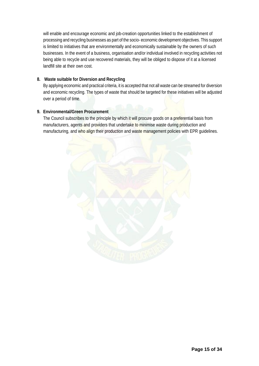will enable and encourage economic and job-creation opportunities linked to the establishment of processing and recycling businesses as part of the socio- economic development objectives. This support is limited to initiatives that are environmentally and economically sustainable by the owners of such businesses. In the event of a business, organisation and/or individual involved in recycling activities not being able to recycle and use recovered materials, they will be obliged to dispose of it at a licensed landfill site at their own cost.

# **8. Waste suitable for Diversion and Recycling**

By applying economic and practical criteria, it is accepted that not all waste can be streamed for diversion and economic recycling. The types of waste that should be targeted for these initiatives will be adjusted over a period of time.

# **9. Environmental/Green Procurement**

The Council subscribes to the principle by which it will procure goods on a preferential basis from manufacturers, agents and providers that undertake to minimise waste during production and manufacturing, and who align their production and waste management policies with EPR guidelines.

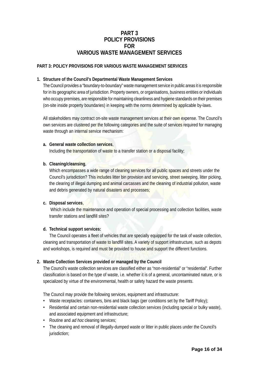# **PART 3 POLICY PROVISIONS FOR VARIOUS WASTE MANAGEMENT SERVICES**

# **PART 3: POLICY PROVISIONS FOR VARIOUS WASTE MANAGEMENT SERVICES**

# **1. Structure of the Council's Departmental Waste Management Services**

The Council provides a "boundary-to-boundary" waste management service in public areas it is responsible for in its geographic area of jurisdiction. Property owners, or organisations, business entities or individuals who occupy premises, are responsible for maintaining cleanliness and hygiene standards on their premises (on-site inside property boundaries) in keeping with the norms determined by applicable by-laws.

All stakeholders may contract on-site waste management services at their own expense. The Council's own services are clustered per the following categories and the suite of services required for managing waste through an internal service mechanism:

#### **a. General waste collection services**,

Including the transportation of waste to a transfer station or a disposal facility;

#### **b. Cleaning/cleansing**,

Which encompasses a wide range of cleaning services for all public spaces and streets under the Council's jurisdiction? This includes litter bin provision and servicing, street sweeping, litter picking, the clearing of illegal dumping and animal carcasses and the cleaning of industrial pollution, waste and debris generated by natural disasters and processes;

# **c. Disposal services**,

Which include the maintenance and operation of special processing and collection facilities, waste transfer stations and landfill sites?

#### **d. Technical support services:**

The Council operates a fleet of vehicles that are specially equipped for the task of waste collection, cleaning and transportation of waste to landfill sites. A variety of support infrastructure, such as depots and workshops, is required and must be provided to house and support the different functions.

# **2. Waste Collection Services provided or managed by the Council**

The Council's waste collection services are classified either as "non-residential" or "residential". Further classification is based on the type of waste, i.e. whether it is of a general, uncontaminated nature, or is specialized by virtue of the environmental, health or safety hazard the waste presents.

The Council may provide the following services, equipment and infrastructure:

- Waste receptacles: containers, bins and black bags (per conditions set by the Tariff Policy);
- Residential and certain non-residential waste collection services (including special or bulky waste), and associated equipment and infrastructure;
- Routine and *ad hoc* cleaning services;
- The cleaning and removal of illegally-dumped waste or litter in public places under the Council's jurisdiction: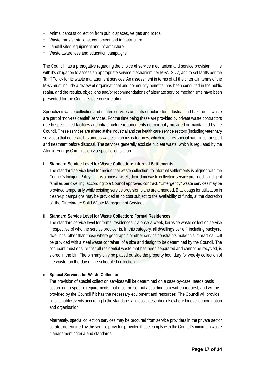- Animal carcass collection from public spaces, verges and roads;
- Waste transfer stations, equipment and infrastructure;
- Landfill sites, equipment and infrastructure;
- Waste awareness and education campaigns.

The Council has a prerogative regarding the choice of service mechanism and service provision in line with it's obligation to assess an appropriate service mechanism per MSA, S.77, and to set tariffs per the Tariff Policy for its waste management services. An assessment in terms of all the criteria in terms of the MSA must include a review of organisational and community benefits, has been consulted in the public realm, and the results, objections and/or recommendations of alternate service mechanisms have been presented for the Council's due consideration.

Specialized waste collection and related services and infrastructure for industrial and hazardous waste are part of "non-residential" services. For the time being these are provided by private waste contractors due to specialized facilities and infrastructure requirements not normally provided or maintained by the Council. These services are aimed at the industrial and the health care service sectors (including veterinary services) that generate hazardous waste of various categories, which requires special handling, transport and treatment before disposal. The services generally exclude nuclear waste, which is regulated by the Atomic Energy Commission via specific legislation.

#### **i. Standard Service Level for Waste Collection: Informal Settlements**

The standard service level for residential waste collection, to informal settlements is aligned with the Council's Indigent Policy. This is a once-a-week, door-door waste collection service provided to indigent families per dwelling, according to a Council approved contract. "Emergency" waste services may be provided temporarily while existing service provision plans are amended. Black bags for utilization in clean-up campaigns may be provided at no cost subject to the availability of funds, at the discretion of the Directorate: Solid Waste Management Services.

# **ii. Standard Service Level for Waste Collection: Formal Residences**

The standard service level for formal residences is a once-a-week, kerbside waste collection service irrespective of who the service provider is. In this category, all dwellings per erf, including backyard dwellings, other than those where geographic or other service constraints make this impractical, will be provided with a steel waste container, of a size and design to be determined by the Council. The occupant must ensure that all residential waste that has been separated and cannot be recycled, is stored in the bin. The bin may only be placed outside the property boundary for weekly collection of the waste, on the day of the scheduled collection.

#### **iii. Special Services for Waste Collection**

The provision of special collection services will be determined on a case-by-case, needs basis according to specific requirements that must be set out according to a written request, and will be provided by the Council if it has the necessary equipment and resources. The Council will provide bins at public events according to the standards and costs described elsewhere for event coordination and organisation.

Alternately, special collection services may be procured from service providers in the private sector at rates determined by the service provider, provided these comply with the Council's minimum waste management criteria and standards.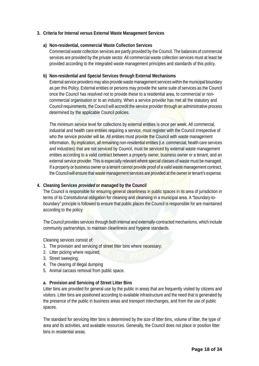#### **3. Criteria for Internal versus External Waste Management Services**

#### **a) Non-residential, commercial Waste Collection Services**

Commercial waste collection services are partly provided by the Council. The balances of commercial services are provided by the private sector. All commercial waste collection services must at least be provided according to the integrated waste management principles and standards of this policy.

#### **b) Non-residential and Special Services through External Mechanisms**

External service providers may also provide waste management services within the municipal boundary as per this Policy. External entities or persons may provide the same suite of services as the Council once the Council has resolved not to provide these to a residential area, to commercial or noncommercial organisation or to an industry. When a service provider has met all the statutory and Council requirements, the Council will accredit the service provider through an administrative process determined by the applicable Council policies.

The minimum service level for collections by external entities is once per week. All commercial, industrial and health care entities requiring a service, must register with the Council irrespective of who the service provider will be. All entities must provide the Council with waste management information. By implication, all remaining non-residential entities (i.e. commercial, health care services and industries) that are not serviced by Council, must be serviced by external waste management entities according to a valid contract between a property owner, business owner or a tenant, and an external service provider. This is especially relevant where special classes of waste must be managed. If a property or business owner or a tenant cannot provide proof of a valid waste management contract, the Council will ensure that waste management services are provided at the owner or tenant's expense.

#### **4. Cleaning Services provided or managed by the Council**

The Council is responsible for ensuring general cleanliness in public spaces in its area of jurisdiction in terms of its Constitutional obligation for cleaning and cleansing in a municipal area. A "boundary-toboundary" principle is followed to ensure that public places the Council is responsible for are maintained according to the policy.

The Council provides services through both internal and externally-contracted mechanisms, which include community partnerships, to maintain cleanliness and hygiene standards.

Cleaning services consist of:

- 1. The provision and servicing of street litter bins where necessary;
- 2. Litter picking where required;
- 3. Street sweeping;
- 4. The clearing of illegal dumping
- 5. Animal carcass removal from public space.

#### **a. Provision and Servicing of Street Litter Bins**

Litter bins are provided for general use by the public in areas that are frequently visited by citizens and visitors. Litter bins are positioned according to available infrastructure and the need that is generated by the presence of the public in business areas and transport interchanges, and from the use of public spaces.

The standard for servicing litter bins is determined by the size of litter bins, volume of litter, the type of area and its activities, and available resources. Generally, the Council does not place or position litter bins in residential areas.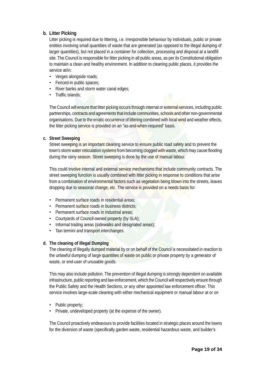# **b. Litter Picking**

Litter picking is required due to littering, i.e. irresponsible behaviour by individuals, public or private entities involving small quantities of waste that are generated (as opposed to the illegal dumping of larger quantities), but not placed in a container for collection, processing and disposal at a landfill site. The Council is responsible for litter picking in all public areas, as per its Constitutional obligation to maintain a clean and healthy environment. In addition to cleaning public places, it provides the service at/in:

- Verges alongside roads;
- Fenced-in public spaces;
- River banks and storm water canal edges;
- Traffic islands:

The Council will ensure that litter picking occurs through internal or external services, including public partnerships, contracts and agreements that include communities, schools and other non-governmental organisations. Due to the erratic occurrence of littering combined with local wind and weather effects, the litter picking service is provided on an "as-and-when-required" basis.

#### **c. Street Sweeping**

Street sweeping is an important cleaning service to ensure public road safety and to prevent the town's storm water reticulation systems from becoming clogged with waste, which may cause flooding during the rainy season. Street sweeping is done by the use of manual labour.

This could involve internal and external service mechanisms that include community contracts. The street sweeping function is usually combined with litter picking in response to conditions that arise from a combination of environmental factors such as vegetation being blown into the streets, leaves dropping due to seasonal change, etc. The service is provided on a needs basis for:

- Permanent surface roads in residential areas:
- Permanent surface roads in business districts:
- Permanent surface roads in industrial areas:
- Courtyards of Council-owned property (by SLA);
- Informal trading areas (sidewalks and designated areas);
- Taxi termini and transport interchanges.

# **d. The cleaning of Illegal Dumping**

The cleaning of illegally dumped material by or on behalf of the Council is necessitated in reaction to the unlawful dumping of large quantities of waste on public or private property by a generator of waste, or end-user of unusable goods.

This may also include pollution. The prevention of illegal dumping is strongly dependent on available infrastructure, public reporting and law enforcement, which the Council will respectively ensure through the Public Safety and the Health Sections, or any other appointed law enforcement officer. This service involves large-scale cleaning with either mechanical equipment or manual labour at or on

- Public property:
- Private, undeveloped property (at the expense of the owner).

The Council proactively endeavours to provide facilities located in strategic places around the towns for the diversion of waste (specifically garden waste, residential hazardous waste, and builder's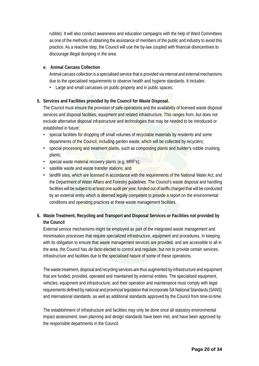rubble). It will also conduct awareness and education campaigns with the help of Ward Committees as one of the methods of obtaining the assistance of members of the public and industry to avoid this practice. As a reactive step, the Council will use the by-law coupled with financial disincentives to discourage illegal dumping in the area.

# **e. Animal Carcass Collection**

Animal carcass collection is a specialised service that is provided via internal and external mechanisms due to the specialised requirements to observe health and hygiene standards. It includes:

• Large and small carcasses on public property and in public spaces;

# **5. Services and Facilities provided by the Council for Waste Disposal.**

The Council must ensure the provision of safe operations and the availability of licensed waste disposal services and disposal facilities, equipment and related infrastructure. This ranges from, but does not exclude alternative disposal infrastructure and technologies that may be needed to be introduced or established in future:

- special facilities for dropping off small volumes of recyclable materials by residents and some departments of the Council, including garden waste, which will be collected by recyclers;
- special processing and treatment plants, such as composting plants and builder's rubble crushing plants;
- special waste material recovery plants (e.g. MRF's);
- satellite waste and waste transfer stations; and
- landfill sites, which are licensed in accordance with the requirements of the National Water Act, and the Department of Water Affairs and Forestry guidelines. The Council's waste disposal and handling facilities will be subject to at least one audit per year, funded out of tariffs charged that will be conducted by an external entity which is deemed legally competent to provide a report on the environmental conditions and operating practices at these waste management facilities.

# **6. Waste Treatment, Recycling and Transport and Disposal Services or Facilities not provided by the Council**

External service mechanisms might be employed as part of the integrated waste management and minimisation processes that require specialized infrastructure, equipment and procedures. In keeping with its obligation to ensure that waste management services are provided, and are accessible to all in the area, the Council has de facto elected to control and regulate, but not to provide certain services, infrastructure and facilities due to the specialised nature of some of these operations.

The waste treatment, disposal and recycling services are thus augmented by infrastructure and equipment that are funded, provided, operated and maintained by external entities. The specialised equipment, vehicles, equipment and infrastructure, and their operation and maintenance must comply with legal requirements defined by national and provincial legislation that incorporate SA National Standards (SANS) and international standards, as well as additional standards approved by the Council from time-to-time.

The establishment of infrastructure and facilities may only be done once all statutory environmental impact assessment, town planning and design standards have been met, and have been approved by the responsible departments in the Council.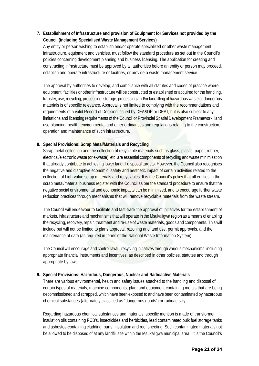# **7. Establishment of Infrastructure and provision of Equipment for Services not provided by the Council (including Specialised Waste Management Services)**

Any entity or person wishing to establish and/or operate specialized or other waste management infrastructure, equipment and vehicles, must follow the standard procedure as set out in the Council's policies concerning development planning and business licensing. The application for creating and constructing infrastructure must be approved by all authorities before an entity or person may proceed, establish and operate infrastructure or facilities, or provide a waste management service.

The approval by authorities to develop, and compliance with all statutes and codes of practice where equipment, facilities or other infrastructure will be constructed or established or acquired for the handling, transfer, use, recycling, processing, storage, processing and/or landfilling of hazardous waste or dangerous materials is of specific relevance. Approval is not limited to complying with the recommendations and requirements of a valid Record of Decision issued by DEA&DP or DEAT, but is also subject to any limitations and licensing requirements of the Council or Provincial Spatial Development Framework, land use planning, health, environmental and other ordinances and regulations relating to the construction, operation and maintenance of such infrastructure.

# **8. Special Provisions: Scrap Metal/Materials and Recycling**

Scrap metal collection and the collection of recyclable materials such as glass, plastic, paper, rubber, electrical/electronic waste (or e-waste), etc. are essential components of recycling and waste minimisation that already contribute to achieving lower landfill disposal targets. However, the Council also recognises the negative and disruptive economic, safety and aesthetic impact of certain activities related to the collection of high-value scrap materials and recyclables. It is the Council's policy that all entities in the scrap metal/material business register with the Council as per the standard procedure to ensure that the negative social environmental and economic impacts can be minimised, and to encourage further waste reduction practices through mechanisms that will remove recyclable materials from the waste stream.

The Council will endeavour to facilitate and fast-track the approval of initiatives for the establishment of markets, infrastructure and mechanisms that will operate in the Msukaligwa region as a means of enabling the recycling, recovery, repair, treatment and re-use of waste materials, goods and components. This will include but will not be limited to plans approval, rezoning and land use, permit approvals, and the maintenance of data (as required in terms of the National Waste Information System).

The Council will encourage and control lawful recycling initiatives through various mechanisms, including appropriate financial instruments and incentives, as described in other policies, statutes and through appropriate by-laws.

# **9. Special Provisions: Hazardous, Dangerous, Nuclear and Radioactive Materials**

There are various environmental, health and safety issues attached to the handling and disposal of certain types of materials, machine components, plant and equipment containing metals that are being decommissioned and scrapped, which have been exposed to and have been contaminated by hazardous chemical substances (alternately classified as "dangerous goods") or radioactivity.

Regarding hazardous chemical substances and materials, specific mention is made of transformer insulation oils containing PCB's, insecticides and herbicides, lead contaminated bulk fuel storage tanks and asbestos-containing cladding, parts, insulation and roof sheeting. Such contaminated materials not be allowed to be disposed of at any landfill site within the Msukaligwa municipal area. It is the Council's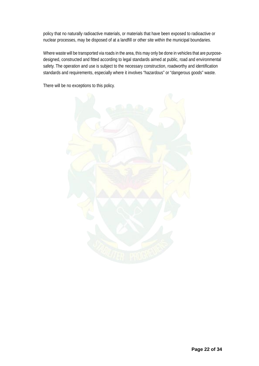policy that no naturally radioactive materials, or materials that have been exposed to radioactive or nuclear processes, may be disposed of at a landfill or other site within the municipal boundaries.

Where waste will be transported via roads in the area, this may only be done in vehicles that are purposedesigned, constructed and fitted according to legal standards aimed at public, road and environmental safety. The operation and use is subject to the necessary construction, roadworthy and identification standards and requirements, especially where it involves "hazardous" or "dangerous goods" waste.

There will be no exceptions to this policy.

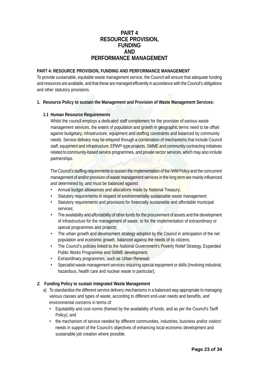# **PART 4 RESOURCE PROVISION, FUNDING AND PERFORMANCE MANAGEMENT**

#### **PART 4: RESOURCE PROVISION, FUNDING AND PERFORMANCE MANAGEMENT**

To provide sustainable, equitable waste management service, the Council will ensure that adequate funding and resources are available, and that these are managed efficiently in accordance with the Council's obligations and other statutory provisions.

#### **1. Resource Policy to sustain the Management and Provision of Waste Management Services:**

#### **1.1 Human Resource Requirements**

Whilst the council employs a dedicated staff complement for the provision of various waste management services, the extent of population and growth in geographic terms need to be offset against budgetary, infrastructure, equipment and staffing constraints and balanced by community needs. Service delivery may be ensured through a combination of mechanisms that include Council staff, equipment and infrastructure, EPWP-type projects, SMME and community contracting initiatives related to community-based service programmes, and private sector services, which may also include partnerships.

The Council's staffing requirements to sustain the implementation of the IWM Policy and the concurrent management of and/or provision of waste management services in the long term are mainly influenced and determined by, and must be balanced against:

- Annual budget allowances and allocations made by National Treasury;
- Statutory requirements in respect of environmentally-sustainable waste management;
- Statutory requirements and provisions for financially sustainable and affordable municipal services;
- The availability and affordability of other funds for the procurement of assets and the development of infrastructure for the management of waste, or for the implementation of extraordinary or special programmes and projects;
- The urban growth and development strategy adopted by the Council in anticipation of the net population and economic growth, balanced against the needs of its citizens;
- The Council's policies linked to the National Government's Poverty Relief Strategy, Expanded Public Works Programme and SMME development;
- Extraordinary programmes, such as Urban Renewal;
- Specialist waste management services requiring special equipment or skills (involving industrial, hazardous, health care and nuclear waste in particular);

# **2. Funding Policy to sustain Integrated Waste Management**

- a) To standardise the different service delivery mechanisms in a balanced way appropriate to managing various classes and types of waste, according to different end-user needs and benefits, and environmental concerns in terms of:
	- Equitability and cost norms (framed by the availability of funds, and as per the Council's Tariff Policy); and
	- the mechanism of service needed by different communities, industries, business and/or visitors' needs in support of the Council's objectives of enhancing local economic development and sustainable job creation where possible.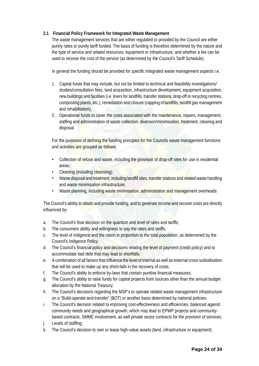# **2.1 Financial Policy Framework for Integrated Waste Management**

The waste management services that are either regulated or provided by the Council are either purely rates or purely tariff funded. The basis of funding is therefore determined by the nature and the type of service and related resources, equipment or infrastructure, and whether a fee can be used to recover the cost of the service (as determined by the Council's Tariff Schedule).

In general the funding should be provided for specific integrated waste management aspects i.e.

- 1. Capital funds that may include, but not be limited to technical and feasibility investigations/ studies/consultation fees, land acquisition, infrastructure development, equipment acquisition, new buildings and facilities (i.e. liners for landfills, transfer stations, drop-off or recycling centres, composting plants, etc.), remediation and closure (capping of landfills, landfill gas management and rehabilitation),
- 2. Operational funds to cover the costs associated with the maintenance, repairs, management, staffing and administration of waste collection, diversion/minimisation, treatment, cleaning and disposal.

For the purposes of defining the funding principles for the Councils waste management functions and activities are grouped as follows:

- Collection of refuse and waste, including the provision of drop-off sites for use in residential areas;
- Cleaning (including cleansing);
- Waste disposal and treatment, including landfill sites, transfer stations and related waste handling and waste minimisation infrastructure;
- Waste planning, including waste minimisation, administration and management overheads

The Council's ability to obtain and provide funding, and to generate income and recover costs are directly influenced by:

- a. The Council's final decision on the quantum and level of rates and tariffs;
- b. The consumers ability and willingness to pay the rates and tariffs;
- c. The level of indigence and the ration in proportion to the total population, as determined by the Council's Indigence Policy;
- d. The Council's financial policy and decisions relating the level of payment (credit policy) and to accommodate bad debt that may lead to shortfalls;
- e. A combination of all factors that influence the level of internal as well as external cross-subsidisation that will be used to make up any short-falls in the recovery of costs;
- f. The Council's ability to enforce by-laws that contain punitive financial measures;
- g. The Council's ability to raise funds for capital projects from sources other than the annual budget allocation by the National Treasury;
- h. The Council's decisions regarding the MSP's to operate related waste management infrastructure on a "Build-operate-and-transfer" (BOT) or another basis determined by national policies;
- i. The Council's decision related to improving cost-effectiveness and efficiencies, balanced against community needs and geographical growth, which may lead to EPWP projects and communitybased contracts, SMME involvement, as well private sector contracts for the provision of services;
- j. Levels of staffing;
- k. The Council's decision to own or lease high-value assets (land, infrastructure or equipment).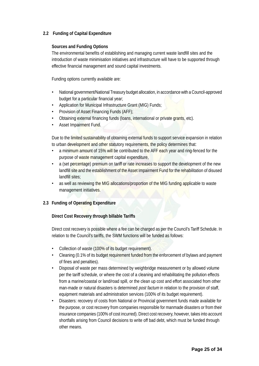# **2.2 Funding of Capital Expenditure**

#### **Sources and Funding Options**

The environmental benefits of establishing and managing current waste landfill sites and the introduction of waste minimisation initiatives and infrastructure will have to be supported through effective financial management and sound capital investments.

Funding options currently available are:

- National government/National Treasury budget allocation, in accordance with a Council-approved budget for a particular financial year;
- Application for Municipal Infrastructure Grant (MIG) Funds;
- Provision of Asset Financing Funds (AFF);
- Obtaining external financing funds (loans, international or private grants, etc).
- Asset Impairment Fund.

Due to the limited sustainability of obtaining external funds to support service expansion in relation to urban development and other statutory requirements, the policy determines that:

- a minimum amount of 15% will be contributed to the AFF each year and ring-fenced for the purpose of waste management capital expenditure,
- a (set percentage) premium on tariff or rate increases to support the development of the new landfill site and the establishment of the Asset Impairment Fund for the rehabilitation of disused landfill sites;
- as well as reviewing the MIG allocations/proportion of the MIG funding applicable to waste management initiatives.

# **2.3 Funding of Operating Expenditure**

#### **Direct Cost Recovery through billable Tariffs**

Direct cost recovery is possible where a fee can be charged as per the Council's Tariff Schedule. In relation to the Council's tariffs, the SWM functions will be funded as follows:

- Collection of waste (100% of its budget requirement).
- Cleaning (0.1% of its budget requirement funded from the enforcement of bylaws and payment of fines and penalties).
- Disposal of waste per mass determined by weighbridge measurement or by allowed volume per the tariff schedule, or where the cost of a cleaning and rehabilitating the pollution effects from a marine/coastal or land/road spill, or the clean up cost and effort associated from other man-made or natural disasters is determined *post factum* in relation to the provision of staff, equipment materials and administration services (100% of its budget requirement).
- Disasters: recovery of costs from National or Provincial government funds made available for the purpose, or cost recovery from companies responsible for manmade disasters or from their insurance companies (100% of cost incurred). Direct cost recovery, however, takes into account shortfalls arising from Council decisions to write off bad debt, which must be funded through other means.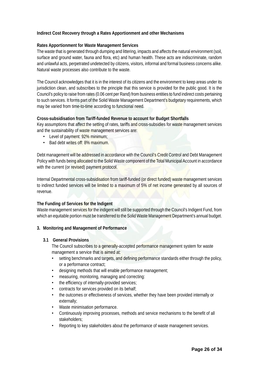# **Indirect Cost Recovery through a Rates Apportionment and other Mechanisms**

#### **Rates Apportionment for Waste Management Services**

The waste that is generated through dumping and littering, impacts and affects the natural environment (soil, surface and ground water, fauna and flora, etc) and human health. These acts are indiscriminate, random and unlawful acts, perpetrated undetected by citizens, visitors, informal and formal business concerns alike. Natural waste processes also contribute to the waste.

The Council acknowledges that it is in the interest of its citizens and the environment to keep areas under its jurisdiction clean, and subscribes to the principle that this service is provided for the public good. It is the Council's policy to raise from rates (0.06 cent per Rand) from business entities to fund indirect costs pertaining to such services. It forms part of the Solid Waste Management Department's budgetary requirements, which may be varied from time-to-time according to functional need.

#### **Cross-subsidisation from Tariff-funded Revenue to account for Budget Shortfalls**

Key assumptions that affect the setting of rates, tariffs and cross-subsidies for waste management services and the sustainability of waste management services are:

- Level of payment: 92% minimum:
- Bad debt writes off: 8% maximum.

Debt management will be addressed in accordance with the Council's Credit Control and Debt Management Policy with funds being allocated to the Solid Waste component of the Total Municipal Account in accordance with the current (or revised) payment protocol.

Internal Departmental cross-subsidisation from tariff-funded (or direct funded) waste management services to indirect funded services will be limited to a maximum of 5% of net income generated by all sources of revenue.

# **The Funding of Services for the Indigent**

Waste management services for the indigent will still be supported through the Council's Indigent Fund, from which an equitable portion must be transferred to the Solid Waste Management Department's annual budget.

#### **3. Monitoring and Management of Performance**

#### **3.1 General Provisions**

The Council subscribes to a generally-accepted performance management system for waste management a service that is aimed at:

- setting benchmarks and targets, and defining performance standards either through the policy, or a performance contract;
- designing methods that will enable performance management;
- measuring, monitoring, managing and correcting:
- the efficiency of internally-provided services;
- contracts for services provided on its behalf;
- the outcomes or effectiveness of services, whether they have been provided internally or externally;
- Waste minimisation performance.
- Continuously improving processes, methods and service mechanisms to the benefit of all stakeholders;
- Reporting to key stakeholders about the performance of waste management services.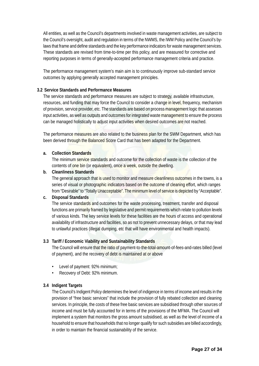All entities, as well as the Council's departments involved in waste management activities, are subject to the Council's oversight, audit and regulation in terms of the NWMS, the IWM Policy and the Council's bylaws that frame and define standards and the key performance indicators for waste management services. These standards are revised from time-to-time per this policy, and are measured for corrective and reporting purposes in terms of generally-accepted performance management criteria and practice.

The performance management system's main aim is to continuously improve sub-standard service outcomes by applying generally accepted management principles.

#### **3.2 Service Standards and Performance Measures**

The service standards and performance measures are subject to strategy, available infrastructure, resources, and funding that may force the Council to consider a change in level, frequency, mechanism of provision, service provider, etc. The standards are based on process management logic that assesses input activities, as well as outputs and outcomes for integrated waste management to ensure the process can be managed holistically to adjust input activities when desired outcomes are not reached.

The performance measures are also related to the business plan for the SWM Department, which has been derived through the Balanced Score Card that has been adapted for the Department.

#### **a. Collection Standards**

The minimum service standards and outcome for the collection of waste is the collection of the contents of one bin (or equivalent), once a week, outside the dwelling.

#### **b. Cleanliness Standards**

The general approach that is used to monitor and measure cleanliness outcomes in the towns, is a series of visual or photographic indicators based on the outcome of cleaning effort, which ranges from "Desirable" to "Totally Unacceptable". The minimum level of service is depicted by "Acceptable".

#### **c. Disposal Standards**

The service standards and outcomes for the waste processing, treatment, transfer and disposal functions are primarily framed by legislative and permit requirements which relate to pollution levels of various kinds. The key service levels for these facilities are the hours of access and operational availability of infrastructure and facilities, so as not to prevent unnecessary delays, or that may lead to unlawful practices (illegal dumping, etc that will have environmental and health impacts).

# **3.3 Tariff / Economic Viability and Sustainability Standards**

The Council will ensure that the ratio of payment-to-the-total-amount-of-fees-and-rates billed (level of payment), and the recovery of debt is maintained at or above

- Level of payment: 92% minimum;
- Recovery of Debt: 92% minimum.

# **3.4 Indigent Targets**

The Council's Indigent Policy determines the level of indigence in terms of income and results in the provision of "free basic services" that include the provision of fully rebated collection and cleaning services. In principle, the costs of these free basic services are subsidised through other sources of income and must be fully accounted for in terms of the provisions of the MFMA. The Council will implement a system that monitors the gross amount subsidised, as well as the level of income of a household to ensure that households that no longer qualify for such subsidies are billed accordingly, in order to maintain the financial sustainability of the service.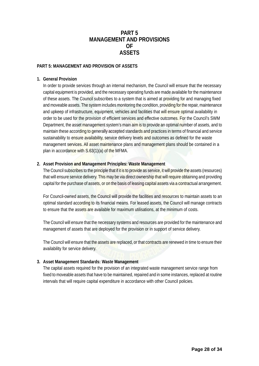# **PART 5 MANAGEMENT AND PROVISIONS OF ASSETS**

#### **PART 5: MANAGEMENT AND PROVISION OF ASSETS**

#### **1. General Provision**

In order to provide services through an internal mechanism, the Council will ensure that the necessary capital equipment is provided, and the necessary operating funds are made available for the maintenance of these assets. The Council subscribes to a system that is aimed at providing for and managing fixed and moveable assets. The system includes monitoring the condition, providing for the repair, maintenance and upkeep of infrastructure, equipment, vehicles and facilities that will ensure optimal availability in order to be used for the provision of efficient services and effective outcomes. For the Council's SWM Department, the asset management system's main aim is to provide an optimal number of assets, and to maintain these according to generally accepted standards and practices in terms of financial and service sustainability to ensure availability, service delivery levels and outcomes as defined for the waste management services. All asset maintenance plans and management plans should be contained in a plan in accordance with S.63(1)(a) of the MFMA.

#### **2. Asset Provision and Management Principles: Waste Management**

The Council subscribes to the principle that if it is to provide as service, it will provide the assets (resources) that will ensure service delivery. This may be via direct ownership that will require obtaining and providing capital for the purchase of assets, or on the basis of leasing capital assets via a contractual arrangement.

For Council-owned assets, the Council will provide the facilities and resources to maintain assets to an optimal standard according to its financial means. For leased assets, the Council will manage contracts to ensure that the assets are available for maximum utilisations, at the minimum of costs.

The Council will ensure that the necessary systems and resources are provided for the maintenance and management of assets that are deployed for the provision or in support of service delivery.

The Council will ensure that the assets are replaced, or that contracts are renewed in time to ensure their availability for service delivery.

# **3. Asset Management Standards: Waste Management**

The capital assets required for the provision of an integrated waste management service range from fixed to moveable assets that have to be maintained, repaired and in some instances, replaced at routine intervals that will require capital expenditure in accordance with other Council policies.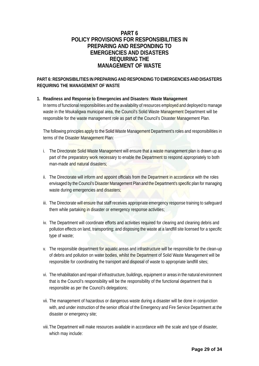# **PART 6 POLICY PROVISIONS FOR RESPONSIBILITIES IN PREPARING AND RESPONDING TO EMERGENCIES AND DISASTERS REQUIRING THE MANAGEMENT OF WASTE**

# **PART 6: RESPONSIBILITIES IN PREPARING AND RESPONDING TO EMERGENCIES AND DISASTERS REQUIRING THE MANAGEMENT OF WASTE**

#### **1. Readiness and Response to Emergencies and Disasters: Waste Management**

In terms of functional responsibilities and the availability of resources employed and deployed to manage waste in the Msukaligwa municipal area, the Council's Solid Waste Management Department will be responsible for the waste management role as part of the Council's Disaster Management Plan.

The following principles apply to the Solid Waste Management Department's roles and responsibilities in terms of the Disaster Management Plan:

- i. The Directorate Solid Waste Management will ensure that a waste management plan is drawn up as part of the preparatory work necessary to enable the Department to respond appropriately to both man-made and natural disasters;
- ii. The Directorate will inform and appoint officials from the Department in accordance with the roles envisaged by the Council's Disaster Management Plan and the Department's specific plan for managing waste during emergencies and disasters;
- iii. The Directorate will ensure that staff receives appropriate emergency response training to safeguard them while partaking in disaster or emergency response activities;
- iv. The Department will coordinate efforts and activities required for clearing and cleaning debris and pollution effects on land, transporting; and disposing the waste at a landfill site licensed for a specific type of waste;
- v. The responsible department for aquatic areas and infrastructure will be responsible for the clean-up of debris and pollution on water bodies, whilst the Department of Solid Waste Management will be responsible for coordinating the transport and disposal of waste to appropriate landfill sites;
- vi. The rehabilitation and repair of infrastructure, buildings, equipment or areas in the natural environment that is the Council's responsibility will be the responsibility of the functional department that is responsible as per the Council's delegations;
- vii. The management of hazardous or dangerous waste during a disaster will be done in conjunction with, and under instruction of the senior official of the Emergency and Fire Service Department at the disaster or emergency site;
- viii.The Department will make resources available in accordance with the scale and type of disaster, which may include: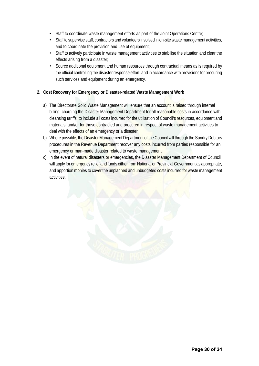- Staff to coordinate waste management efforts as part of the Joint Operations Centre;
- Staff to supervise staff, contractors and volunteers involved in on-site waste management activities, and to coordinate the provision and use of equipment;
- Staff to actively participate in waste management activities to stabilise the situation and clear the effects arising from a disaster;
- Source additional equipment and human resources through contractual means as is required by the official controlling the disaster response effort, and in accordance with provisions for procuring such services and equipment during an emergency.

# **2. Cost Recovery for Emergency or Disaster-related Waste Management Work**

- a) The Directorate Solid Waste Management will ensure that an account is raised through internal billing, charging the Disaster Management Department for all reasonable costs in accordance with cleansing tariffs, to include all costs incurred for the utilisation of Council's resources, equipment and materials, and/or for those contracted and procured in respect of waste management activities to deal with the effects of an emergency or a disaster.
- b) Where possible, the Disaster Management Department of the Council will through the Sundry Debtors procedures in the Revenue Department recover any costs incurred from parties responsible for an emergency or man-made disaster related to waste management.
- c) In the event of natural disasters or emergencies, the Disaster Management Department of Council will apply for emergency relief and funds either from National or Provincial Government as appropriate, and apportion monies to cover the unplanned and unbudgeted costs incurred for waste management activities.

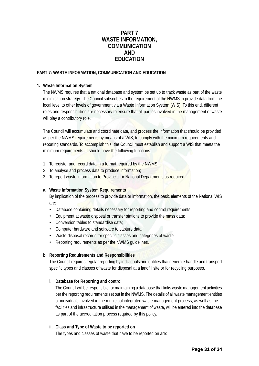# **PART 7 WASTE INFORMATION, COMMUNICATION AND EDUCATION**

# **PART 7: WASTE INFORMATION, COMMUNICATION AND EDUCATION**

#### **1. Waste Information System**

The NWMS requires that a national database and system be set up to track waste as part of the waste minimisation strategy. The Council subscribes to the requirement of the NWMS to provide data from the local level to other levels of government via a Waste Information System (WIS). To this end, different roles and responsibilities are necessary to ensure that all parties involved in the management of waste will play a contributory role.

The Council will accumulate and coordinate data, and process the information that should be provided as per the NWMS requirements by means of a WIS, to comply with the minimum requirements and reporting standards. To accomplish this, the Council must establish and support a WIS that meets the minimum requirements. It should have the following functions:

- 1. To register and record data in a format required by the NWMS;
- 2. To analyse and process data to produce information;
- 3. To report waste information to Provincial or National Departments as required.

#### **a. Waste Information System Requirements**

By implication of the process to provide data or information, the basic elements of the National WIS are:

- Database containing details necessary for reporting and control requirements;
- Equipment at waste disposal or transfer stations to provide the mass data;
- Conversion tables to standardise data;
- Computer hardware and software to capture data;
- Waste disposal records for specific classes and categories of waste;
- Reporting requirements as per the NWMS guidelines.

# **b. Reporting Requirements and Responsibilities**

The Council requires regular reporting by individuals and entities that generate handle and transport specific types and classes of waste for disposal at a landfill site or for recycling purposes.

# **i. Database for Reporting and control**

The Council will be responsible for maintaining a database that links waste management activities per the reporting requirements set out in the NWMS. The details of all waste management entities or individuals involved in the municipal integrated waste management process, as well as the facilities and infrastructure utilised in the management of waste, will be entered into the database as part of the accreditation process required by this policy.

#### **ii. Class and Type of Waste to be reported on**

The types and classes of waste that have to be reported on are: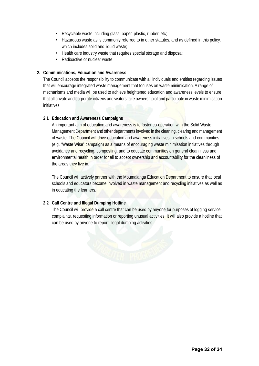- Recyclable waste including glass, paper, plastic, rubber, etc;
- Hazardous waste as is commonly referred to in other statutes, and as defined in this policy, which includes solid and liquid waste;
- Health care industry waste that requires special storage and disposal;
- Radioactive or nuclear waste.

#### **2. Communications, Education and Awareness**

The Council accepts the responsibility to communicate with all individuals and entities regarding issues that will encourage integrated waste management that focuses on waste minimisation. A range of mechanisms and media will be used to achieve heightened education and awareness levels to ensure that all private and corporate citizens and visitors take ownership of and participate in waste minimisation initiatives.

#### **2.1 Education and Awareness Campaigns**

An important aim of education and awareness is to foster co-operation with the Solid Waste Management Department and other departments involved in the cleaning, clearing and management of waste. The Council will drive education and awareness initiatives in schools and communities (e.g. "Waste Wise" campaign) as a means of encouraging waste minimisation initiatives through avoidance and recycling, composting, and to educate communities on general cleanliness and environmental health in order for all to accept ownership and accountability for the cleanliness of the areas they live in.

The Council will actively partner with the Mpumalanga Education Department to ensure that local schools and educators become involved in waste management and recycling initiatives as well as in educating the learners.

#### **2.2 Call Centre and Illegal Dumping Hotline**

The Council will provide a call centre that can be used by anyone for purposes of logging service complaints, requesting information or reporting unusual activities. It will also provide a hotline that can be used by anyone to report illegal dumping activities.

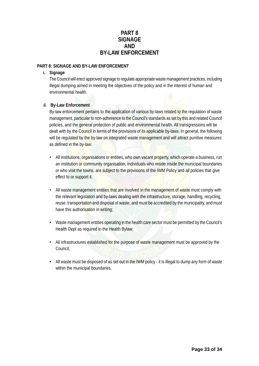# **PART 8 SIGNAGE AND BY-LAW ENFORCEMENT**

# **PART 8: SIGNAGE AND BY-LAW ENFORCEMENT**

# **i. Signage**

The Council will erect approved signage to regulate appropriate waste management practices, including illegal dumping aimed in meeting the objectives of the policy and in the interest of human and environmental health.

#### **ii. By-Law Enforcement**

By-law enforcement pertains to the application of various by-laws related to the regulation of waste management, particular to non-adherence to the Council's standards as set by this and related Council policies, and the general protection of public and environmental health. All transgressions will be dealt with by the Council in terms of the provisions of its applicable by-laws. In general, the following will be regulated by the by-law on integrated waste management and will attract punitive measures as defined in the by-law:

- All institutions, organisations or entities, who own vacant property, which operate a business, run an institution or community organisation, individuals who reside inside the municipal boundaries or who visit the towns, are subject to the provisions of the IWM Policy and all policies that give effect to or support it.
- All waste management entities that are involved in the management of waste must comply with the relevant legislation and by-laws dealing with the infrastructure, storage, handling, recycling, reuse, transportation and disposal of waste, and must be accredited by the municipality, and must have this authorisation in writing;
- Waste management entities operating in the health care sector must be permitted by the Council's Health Dept as required in the Health Bylaw;
- All infrastructures established for the purpose of waste management must be approved by the Council;
- All waste must be disposed of as set out in the IWM policy it is illegal to dump any form of waste within the municipal boundaries.